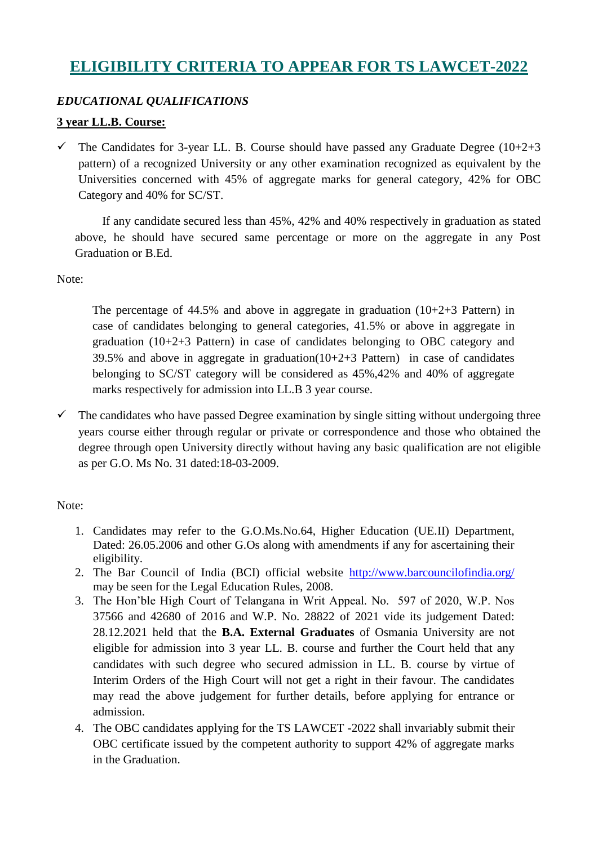# **ELIGIBILITY CRITERIA TO APPEAR FOR TS LAWCET-2022**

### *EDUCATIONAL QUALIFICATIONS*

#### **3 year LL.B. Course:**

 $\checkmark$  The Candidates for 3-year LL. B. Course should have passed any Graduate Degree (10+2+3) pattern) of a recognized University or any other examination recognized as equivalent by the Universities concerned with 45% of aggregate marks for general category, 42% for OBC Category and 40% for SC/ST.

 If any candidate secured less than 45%, 42% and 40% respectively in graduation as stated above, he should have secured same percentage or more on the aggregate in any Post Graduation or B.Ed.

Note:

The percentage of 44.5% and above in aggregate in graduation  $(10+2+3)$  Pattern in case of candidates belonging to general categories, 41.5% or above in aggregate in graduation (10+2+3 Pattern) in case of candidates belonging to OBC category and 39.5% and above in aggregate in graduation( $10+2+3$  Pattern) in case of candidates belonging to SC/ST category will be considered as 45%,42% and 40% of aggregate marks respectively for admission into LL.B 3 year course.

 $\checkmark$  The candidates who have passed Degree examination by single sitting without undergoing three years course either through regular or private or correspondence and those who obtained the degree through open University directly without having any basic qualification are not eligible as per G.O. Ms No. 31 dated:18-03-2009.

#### Note:

- 1. Candidates may refer to the G.O.Ms.No.64, Higher Education (UE.II) Department, Dated: 26.05.2006 and other G.Os along with amendments if any for ascertaining their eligibility.
- 2. The Bar Council of India (BCI) official website <http://www.barcouncilofindia.org/> may be seen for the Legal Education Rules, 2008.
- 3. The Hon'ble High Court of Telangana in Writ Appeal. No. 597 of 2020, W.P. Nos 37566 and 42680 of 2016 and W.P. No. 28822 of 2021 vide its judgement Dated: 28.12.2021 held that the **B.A. External Graduates** of Osmania University are not eligible for admission into 3 year LL. B. course and further the Court held that any candidates with such degree who secured admission in LL. B. course by virtue of Interim Orders of the High Court will not get a right in their favour. The candidates may read the above judgement for further details, before applying for entrance or admission.
- 4. The OBC candidates applying for the TS LAWCET -2022 shall invariably submit their OBC certificate issued by the competent authority to support 42% of aggregate marks in the Graduation.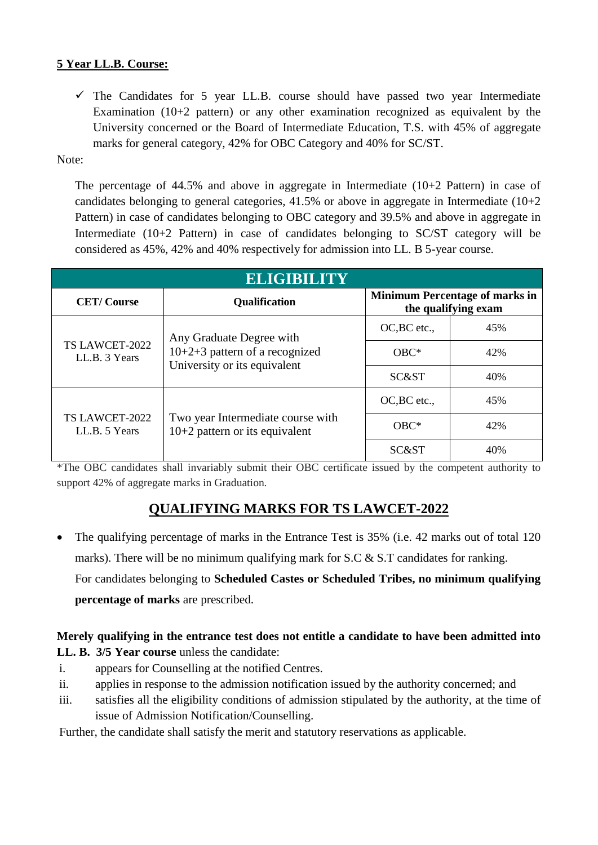### **5 Year LL.B. Course:**

 $\checkmark$  The Candidates for 5 year LL.B. course should have passed two year Intermediate Examination (10+2 pattern) or any other examination recognized as equivalent by the University concerned or the Board of Intermediate Education, T.S. with 45% of aggregate marks for general category, 42% for OBC Category and 40% for SC/ST.

Note:

The percentage of  $44.5\%$  and above in aggregate in Intermediate  $(10+2)$  Pattern) in case of candidates belonging to general categories,  $41.5\%$  or above in aggregate in Intermediate ( $10+2$ ) Pattern) in case of candidates belonging to OBC category and 39.5% and above in aggregate in Intermediate (10+2 Pattern) in case of candidates belonging to SC/ST category will be considered as 45%, 42% and 40% respectively for admission into LL. B 5-year course.

| <b>ELIGIBILITY</b>              |                                                                                              |                                                              |     |
|---------------------------------|----------------------------------------------------------------------------------------------|--------------------------------------------------------------|-----|
| <b>CET/Course</b>               | <b>Qualification</b>                                                                         | <b>Minimum Percentage of marks in</b><br>the qualifying exam |     |
| TS LAWCET-2022<br>LL.B. 3 Years | Any Graduate Degree with<br>$10+2+3$ pattern of a recognized<br>University or its equivalent | OC, BC etc.,                                                 | 45% |
|                                 |                                                                                              | $OBC*$                                                       | 42% |
|                                 |                                                                                              | SC&ST                                                        | 40% |
| TS LAWCET-2022<br>LL.B. 5 Years | Two year Intermediate course with<br>$10+2$ pattern or its equivalent                        | OC, BC etc.,                                                 | 45% |
|                                 |                                                                                              | $OBC*$                                                       | 42% |
|                                 |                                                                                              | SC&ST                                                        | 40% |

\*The OBC candidates shall invariably submit their OBC certificate issued by the competent authority to support 42% of aggregate marks in Graduation.

## **QUALIFYING MARKS FOR TS LAWCET-2022**

• The qualifying percentage of marks in the Entrance Test is 35% (i.e. 42 marks out of total 120 marks). There will be no minimum qualifying mark for S.C & S.T candidates for ranking. For candidates belonging to **Scheduled Castes or Scheduled Tribes, no minimum qualifying percentage of marks** are prescribed.

## **Merely qualifying in the entrance test does not entitle a candidate to have been admitted into LL. B. 3/5 Year course** unless the candidate:

- i. appears for Counselling at the notified Centres.
- ii. applies in response to the admission notification issued by the authority concerned; and
- iii. satisfies all the eligibility conditions of admission stipulated by the authority, at the time of issue of Admission Notification/Counselling.

Further, the candidate shall satisfy the merit and statutory reservations as applicable.